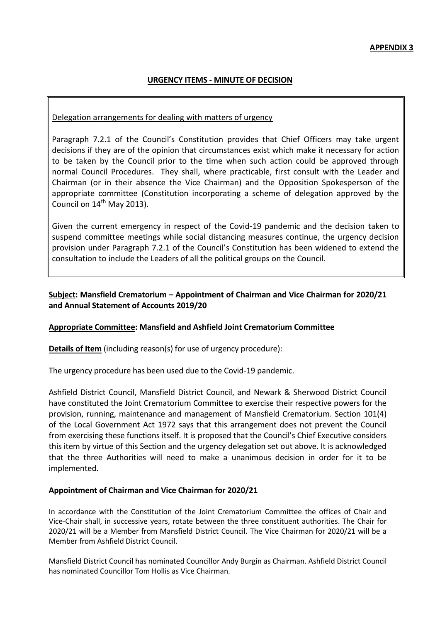## **URGENCY ITEMS - MINUTE OF DECISION**

### Delegation arrangements for dealing with matters of urgency

Paragraph 7.2.1 of the Council's Constitution provides that Chief Officers may take urgent decisions if they are of the opinion that circumstances exist which make it necessary for action to be taken by the Council prior to the time when such action could be approved through normal Council Procedures. They shall, where practicable, first consult with the Leader and Chairman (or in their absence the Vice Chairman) and the Opposition Spokesperson of the appropriate committee (Constitution incorporating a scheme of delegation approved by the Council on 14<sup>th</sup> May 2013).

Given the current emergency in respect of the Covid-19 pandemic and the decision taken to suspend committee meetings while social distancing measures continue, the urgency decision provision under Paragraph 7.2.1 of the Council's Constitution has been widened to extend the consultation to include the Leaders of all the political groups on the Council.

# **Subject: Mansfield Crematorium – Appointment of Chairman and Vice Chairman for 2020/21 and Annual Statement of Accounts 2019/20**

### **Appropriate Committee: Mansfield and Ashfield Joint Crematorium Committee**

**Details of Item** (including reason(s) for use of urgency procedure):

The urgency procedure has been used due to the Covid-19 pandemic.

Ashfield District Council, Mansfield District Council, and Newark & Sherwood District Council have constituted the Joint Crematorium Committee to exercise their respective powers for the provision, running, maintenance and management of Mansfield Crematorium. Section 101(4) of the Local Government Act 1972 says that this arrangement does not prevent the Council from exercising these functions itself. It is proposed that the Council's Chief Executive considers this item by virtue of this Section and the urgency delegation set out above. It is acknowledged that the three Authorities will need to make a unanimous decision in order for it to be implemented.

#### **Appointment of Chairman and Vice Chairman for 2020/21**

In accordance with the Constitution of the Joint Crematorium Committee the offices of Chair and Vice-Chair shall, in successive years, rotate between the three constituent authorities. The Chair for 2020/21 will be a Member from Mansfield District Council. The Vice Chairman for 2020/21 will be a Member from Ashfield District Council.

Mansfield District Council has nominated Councillor Andy Burgin as Chairman. Ashfield District Council has nominated Councillor Tom Hollis as Vice Chairman.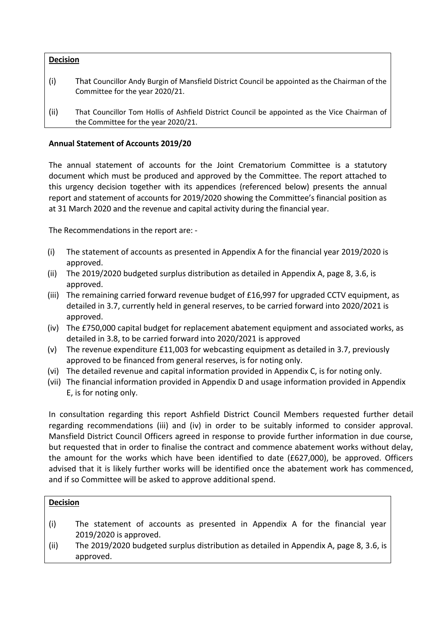## **Decision**

- (i) That Councillor Andy Burgin of Mansfield District Council be appointed as the Chairman of the Committee for the year 2020/21.
- (ii) That Councillor Tom Hollis of Ashfield District Council be appointed as the Vice Chairman of the Committee for the year 2020/21.

## **Annual Statement of Accounts 2019/20**

The annual statement of accounts for the Joint Crematorium Committee is a statutory document which must be produced and approved by the Committee. The report attached to this urgency decision together with its appendices (referenced below) presents the annual report and statement of accounts for 2019/2020 showing the Committee's financial position as at 31 March 2020 and the revenue and capital activity during the financial year.

The Recommendations in the report are: -

- (i) The statement of accounts as presented in Appendix A for the financial year 2019/2020 is approved.
- (ii) The 2019/2020 budgeted surplus distribution as detailed in Appendix A, page 8, 3.6, is approved.
- (iii) The remaining carried forward revenue budget of £16,997 for upgraded CCTV equipment, as detailed in 3.7, currently held in general reserves, to be carried forward into 2020/2021 is approved.
- (iv) The £750,000 capital budget for replacement abatement equipment and associated works, as detailed in 3.8, to be carried forward into 2020/2021 is approved
- (v) The revenue expenditure £11,003 for webcasting equipment as detailed in 3.7, previously approved to be financed from general reserves, is for noting only.
- (vi) The detailed revenue and capital information provided in Appendix C, is for noting only.
- (vii) The financial information provided in Appendix D and usage information provided in Appendix E, is for noting only.

In consultation regarding this report Ashfield District Council Members requested further detail regarding recommendations (iii) and (iv) in order to be suitably informed to consider approval. Mansfield District Council Officers agreed in response to provide further information in due course, but requested that in order to finalise the contract and commence abatement works without delay, the amount for the works which have been identified to date (£627,000), be approved. Officers advised that it is likely further works will be identified once the abatement work has commenced, and if so Committee will be asked to approve additional spend.

### **Decision**

- (i) The statement of accounts as presented in Appendix A for the financial year 2019/2020 is approved.
- (ii) The 2019/2020 budgeted surplus distribution as detailed in Appendix A, page 8, 3.6, is approved.